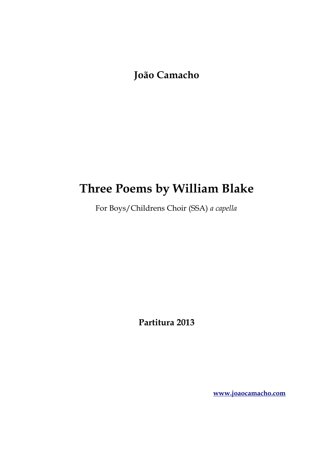**João Camacho**

## **Three Poems by William Blake**

For Boys/Childrens Choir (SSA) *a capella*

**Partitura 2013**

**[www.joaocamacho.com](https://www.joaocamacho.com/)**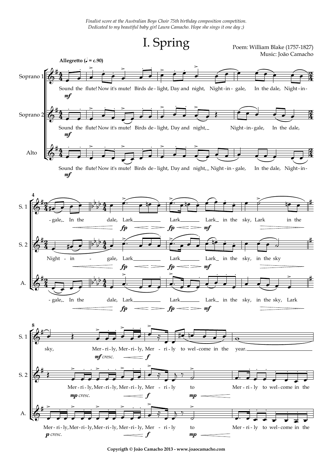*Finalist score at the Australian Boys Choir 75th birthday composition competition. Dedicated to my beautiful baby girl Laura Camacho. Hope she sings it one day ;)*



Music: João Camacho



**Copyrigth © João Camacho 2013 - www.joaocamacho.com**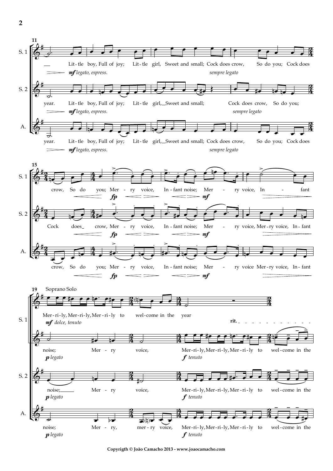

**Copyrigth © João Camacho 2013 - www.joaocamacho.com**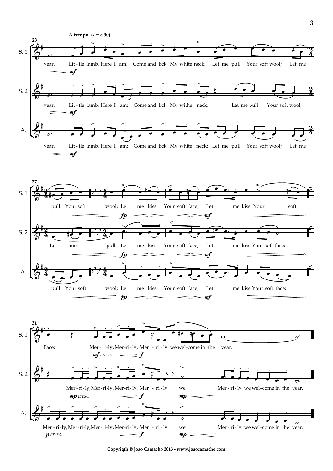



**Copyrigth © João Camacho 2013 - www.joaocamacho.com**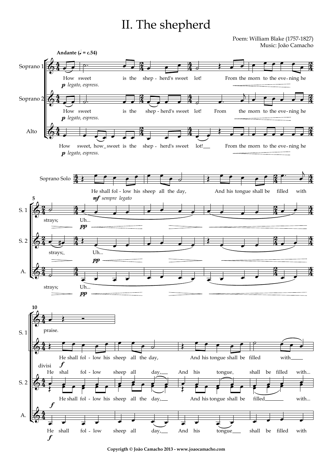## II. The shepherd

Poem: William Blake (1757-1827) Music: João Camacho



**Copyrigth © João Camacho 2013 - www.joaocamacho.com**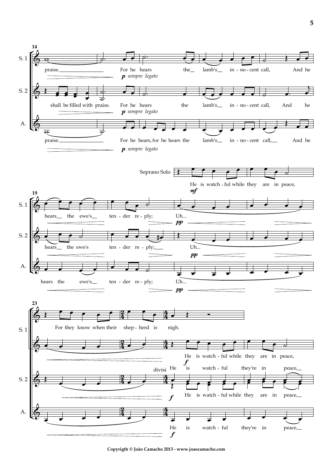

**Copyrigth © João Camacho 2013 - www.joaocamacho.com**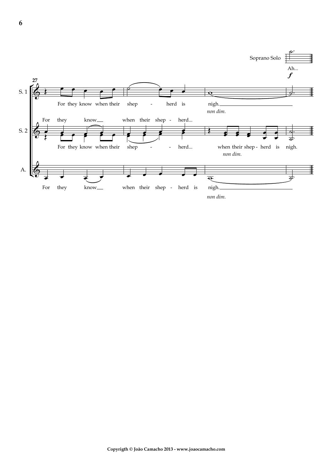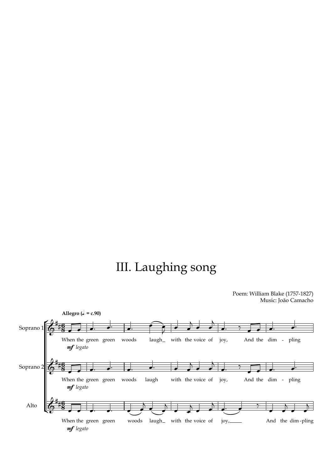## III. Laughing song

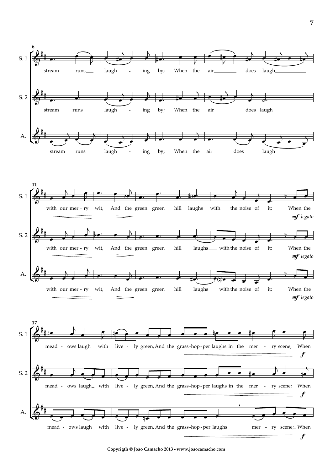

**Copyrigth © João Camacho 2013 - www.joaocamacho.com**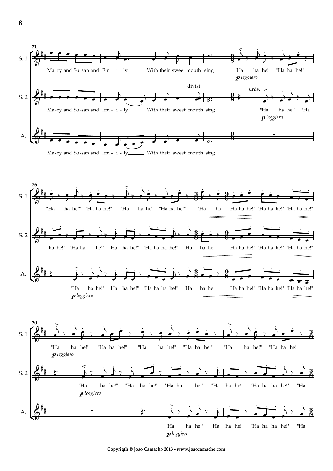

**Copyrigth © João Camacho 2013 - www.joaocamacho.com**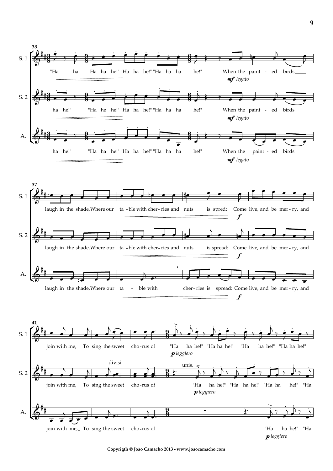

**Copyrigth © João Camacho 2013 - www.joaocamacho.com**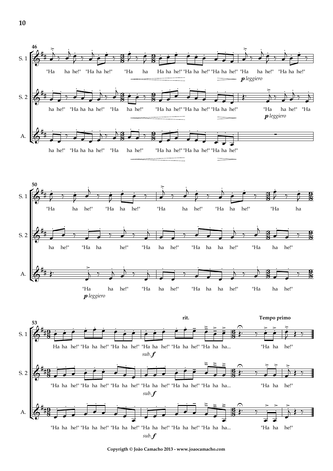

**Copyrigth © João Camacho 2013 - www.joaocamacho.com**